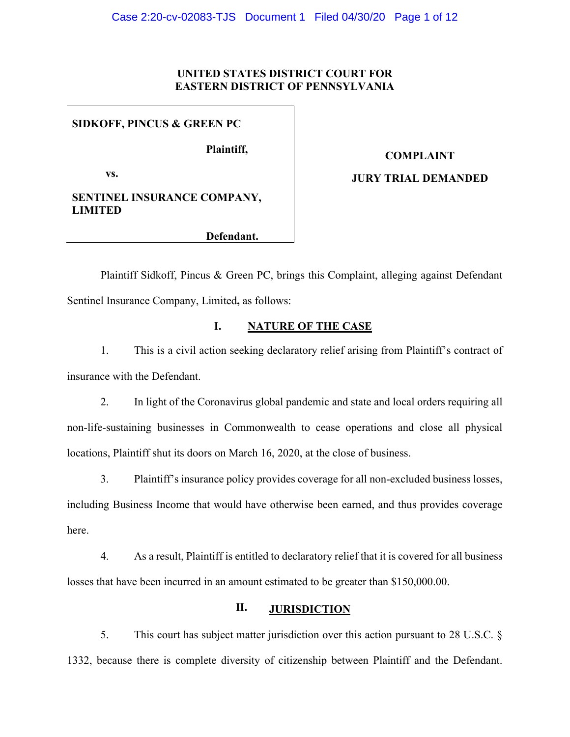### **UNITED STATES DISTRICT COURT FOR EASTERN DISTRICT OF PENNSYLVANIA**

#### **SIDKOFF, PINCUS & GREEN PC**

**Plaintiff,**

**vs.**

# **COMPLAINT**

# **JURY TRIAL DEMANDED**

# **SENTINEL INSURANCE COMPANY, LIMITED**

**Defendant.**

Plaintiff Sidkoff, Pincus & Green PC, brings this Complaint, alleging against Defendant Sentinel Insurance Company, Limited**,** as follows:

# **I. NATURE OF THE CASE**

1. This is a civil action seeking declaratory relief arising from Plaintiff's contract of insurance with the Defendant.

2. In light of the Coronavirus global pandemic and state and local orders requiring all non-life-sustaining businesses in Commonwealth to cease operations and close all physical locations, Plaintiff shut its doors on March 16, 2020, at the close of business.

3. Plaintiff's insurance policy provides coverage for all non-excluded business losses, including Business Income that would have otherwise been earned, and thus provides coverage here.

4. As a result, Plaintiff is entitled to declaratory relief that it is covered for all business losses that have been incurred in an amount estimated to be greater than \$150,000.00.

# **II. JURISDICTION**

5. This court has subject matter jurisdiction over this action pursuant to 28 U.S.C. § 1332, because there is complete diversity of citizenship between Plaintiff and the Defendant.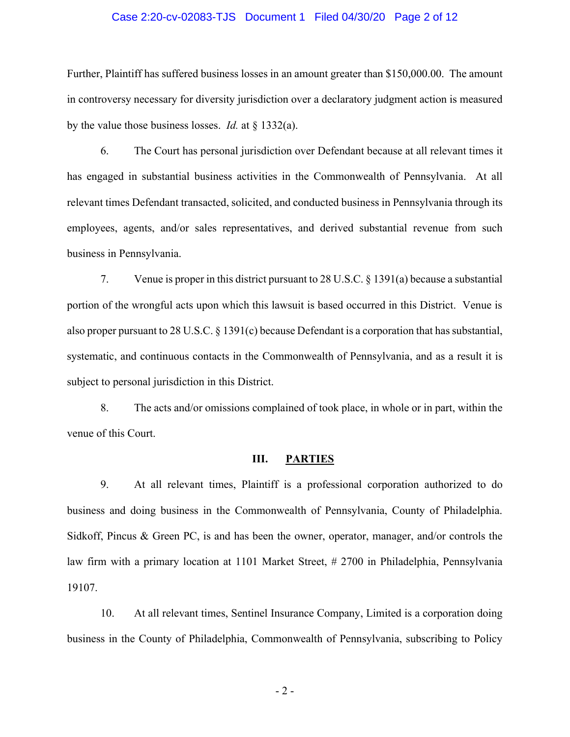#### Case 2:20-cv-02083-TJS Document 1 Filed 04/30/20 Page 2 of 12

Further, Plaintiff has suffered business losses in an amount greater than \$150,000.00. The amount in controversy necessary for diversity jurisdiction over a declaratory judgment action is measured by the value those business losses. *Id.* at § 1332(a).

6. The Court has personal jurisdiction over Defendant because at all relevant times it has engaged in substantial business activities in the Commonwealth of Pennsylvania. At all relevant times Defendant transacted, solicited, and conducted business in Pennsylvania through its employees, agents, and/or sales representatives, and derived substantial revenue from such business in Pennsylvania.

7. Venue is proper in this district pursuant to 28 U.S.C. § 1391(a) because a substantial portion of the wrongful acts upon which this lawsuit is based occurred in this District. Venue is also proper pursuant to 28 U.S.C. § 1391(c) because Defendant is a corporation that has substantial, systematic, and continuous contacts in the Commonwealth of Pennsylvania, and as a result it is subject to personal jurisdiction in this District.

8. The acts and/or omissions complained of took place, in whole or in part, within the venue of this Court.

#### **III. PARTIES**

9. At all relevant times, Plaintiff is a professional corporation authorized to do business and doing business in the Commonwealth of Pennsylvania, County of Philadelphia. Sidkoff, Pincus & Green PC, is and has been the owner, operator, manager, and/or controls the law firm with a primary location at 1101 Market Street, # 2700 in Philadelphia, Pennsylvania 19107.

10. At all relevant times, Sentinel Insurance Company, Limited is a corporation doing business in the County of Philadelphia, Commonwealth of Pennsylvania, subscribing to Policy

- 2 -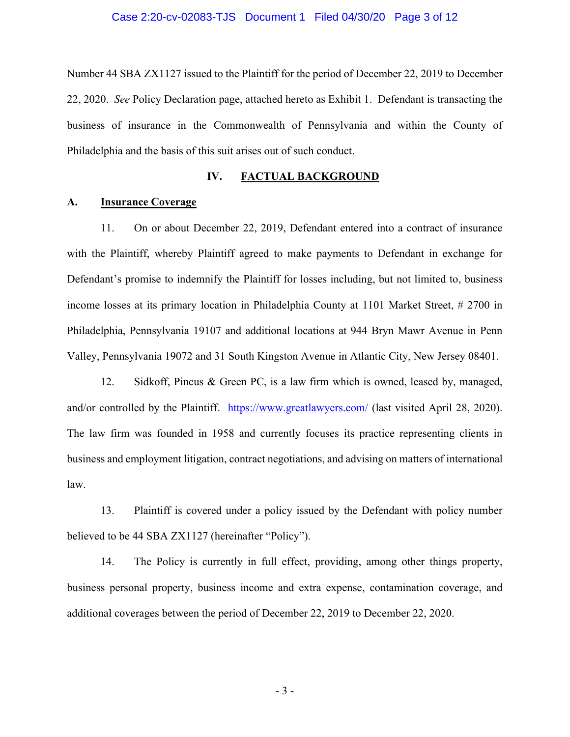#### Case 2:20-cv-02083-TJS Document 1 Filed 04/30/20 Page 3 of 12

Number 44 SBA ZX1127 issued to the Plaintiff for the period of December 22, 2019 to December 22, 2020. *See* Policy Declaration page, attached hereto as Exhibit 1. Defendant is transacting the business of insurance in the Commonwealth of Pennsylvania and within the County of Philadelphia and the basis of this suit arises out of such conduct.

#### **IV. FACTUAL BACKGROUND**

### **A. Insurance Coverage**

11. On or about December 22, 2019, Defendant entered into a contract of insurance with the Plaintiff, whereby Plaintiff agreed to make payments to Defendant in exchange for Defendant's promise to indemnify the Plaintiff for losses including, but not limited to, business income losses at its primary location in Philadelphia County at 1101 Market Street, # 2700 in Philadelphia, Pennsylvania 19107 and additional locations at 944 Bryn Mawr Avenue in Penn Valley, Pennsylvania 19072 and 31 South Kingston Avenue in Atlantic City, New Jersey 08401.

12. Sidkoff, Pincus & Green PC, is a law firm which is owned, leased by, managed, and/or controlled by the Plaintiff. <https://www.greatlawyers.com/> (last visited April 28, 2020). The law firm was founded in 1958 and currently focuses its practice representing clients in business and employment litigation, contract negotiations, and advising on matters of international law.

13. Plaintiff is covered under a policy issued by the Defendant with policy number believed to be 44 SBA ZX1127 (hereinafter "Policy").

14. The Policy is currently in full effect, providing, among other things property, business personal property, business income and extra expense, contamination coverage, and additional coverages between the period of December 22, 2019 to December 22, 2020.

- 3 -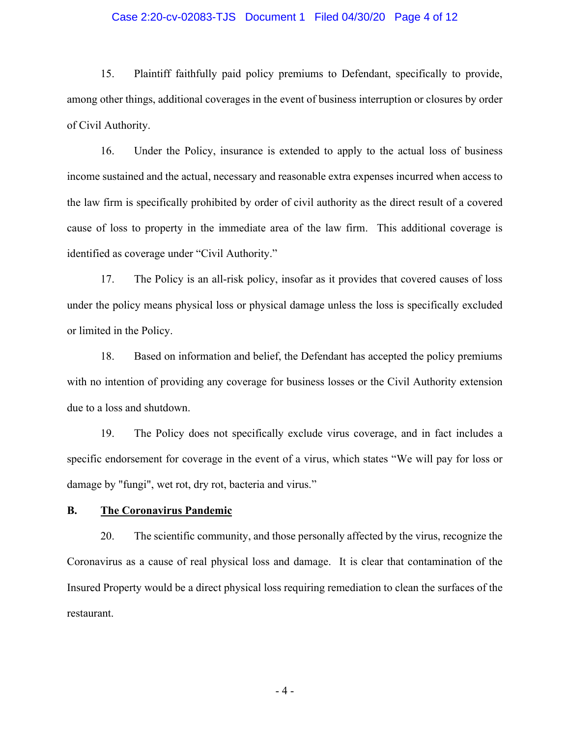#### Case 2:20-cv-02083-TJS Document 1 Filed 04/30/20 Page 4 of 12

15. Plaintiff faithfully paid policy premiums to Defendant, specifically to provide, among other things, additional coverages in the event of business interruption or closures by order of Civil Authority.

16. Under the Policy, insurance is extended to apply to the actual loss of business income sustained and the actual, necessary and reasonable extra expenses incurred when access to the law firm is specifically prohibited by order of civil authority as the direct result of a covered cause of loss to property in the immediate area of the law firm. This additional coverage is identified as coverage under "Civil Authority."

17. The Policy is an all-risk policy, insofar as it provides that covered causes of loss under the policy means physical loss or physical damage unless the loss is specifically excluded or limited in the Policy.

18. Based on information and belief, the Defendant has accepted the policy premiums with no intention of providing any coverage for business losses or the Civil Authority extension due to a loss and shutdown.

19. The Policy does not specifically exclude virus coverage, and in fact includes a specific endorsement for coverage in the event of a virus, which states "We will pay for loss or damage by "fungi", wet rot, dry rot, bacteria and virus."

#### **B. The Coronavirus Pandemic**

20. The scientific community, and those personally affected by the virus, recognize the Coronavirus as a cause of real physical loss and damage. It is clear that contamination of the Insured Property would be a direct physical loss requiring remediation to clean the surfaces of the restaurant.

- 4 -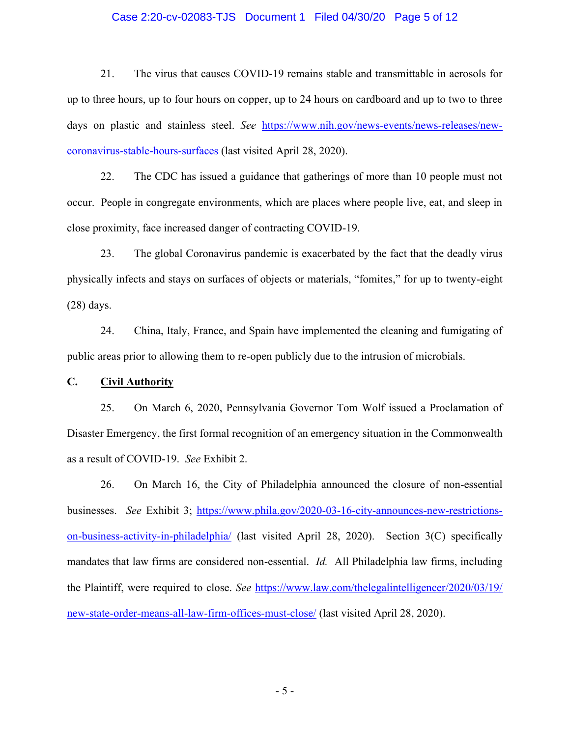#### Case 2:20-cv-02083-TJS Document 1 Filed 04/30/20 Page 5 of 12

21. The virus that causes COVID-19 remains stable and transmittable in aerosols for up to three hours, up to four hours on copper, up to 24 hours on cardboard and up to two to three days on plastic and stainless steel. *See* [https://www.nih.gov/news-events/news-releases/new](https://www.nih.gov/news-events/news-releases/new-coronavirus-stable-hours-surfaces)[coronavirus-stable-hours-surfaces](https://www.nih.gov/news-events/news-releases/new-coronavirus-stable-hours-surfaces) (last visited April 28, 2020).

22. The CDC has issued a guidance that gatherings of more than 10 people must not occur. People in congregate environments, which are places where people live, eat, and sleep in close proximity, face increased danger of contracting COVID-19.

23. The global Coronavirus pandemic is exacerbated by the fact that the deadly virus physically infects and stays on surfaces of objects or materials, "fomites," for up to twenty-eight (28) days.

24. China, Italy, France, and Spain have implemented the cleaning and fumigating of public areas prior to allowing them to re-open publicly due to the intrusion of microbials.

### **C. Civil Authority**

25. On March 6, 2020, Pennsylvania Governor Tom Wolf issued a Proclamation of Disaster Emergency, the first formal recognition of an emergency situation in the Commonwealth as a result of COVID-19. *See* Exhibit 2.

26. On March 16, the City of Philadelphia announced the closure of non-essential businesses. *See* Exhibit 3; [https://www.phila.gov/2020-03-16-city-announces-new-restrictions](https://www.phila.gov/2020-03-16-city-announces-new-restrictions-on-business-activity-in-philadelphia/)[on-business-activity-in-philadelphia/](https://www.phila.gov/2020-03-16-city-announces-new-restrictions-on-business-activity-in-philadelphia/) (last visited April 28, 2020). Section 3(C) specifically mandates that law firms are considered non-essential. *Id.* All Philadelphia law firms, including the Plaintiff, were required to close. *See* [https://www.law.com/thelegalintelligencer/2020/03/19/](https://www.law.com/thelegalintelligencer/2020/03/19/new-state-order-means-all-law-firm-offices-must-close/)  [new-state-order-means-all-law-firm-offices-must-close/](https://www.law.com/thelegalintelligencer/2020/03/19/new-state-order-means-all-law-firm-offices-must-close/) (last visited April 28, 2020).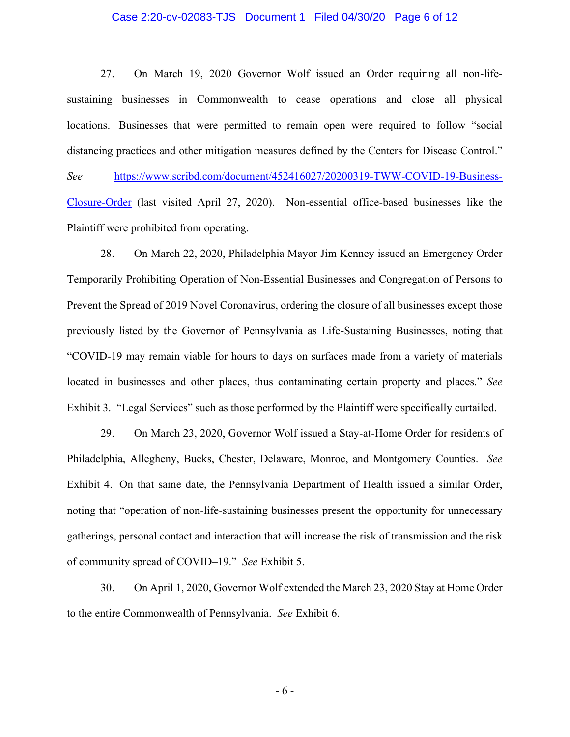#### Case 2:20-cv-02083-TJS Document 1 Filed 04/30/20 Page 6 of 12

27. On March 19, 2020 Governor Wolf issued an Order requiring all non-lifesustaining businesses in Commonwealth to cease operations and close all physical locations. Businesses that were permitted to remain open were required to follow "social distancing practices and other mitigation measures defined by the Centers for Disease Control." *See* [https://www.scribd.com/document/452416027/20200319-TWW-COVID-19-Business-](https://www.scribd.com/document/452416027/20200319-TWW-COVID-19-Business-Closure-Order)[Closure-Order](https://www.scribd.com/document/452416027/20200319-TWW-COVID-19-Business-Closure-Order) (last visited April 27, 2020). Non-essential office-based businesses like the Plaintiff were prohibited from operating.

28. On March 22, 2020, Philadelphia Mayor Jim Kenney issued an Emergency Order Temporarily Prohibiting Operation of Non-Essential Businesses and Congregation of Persons to Prevent the Spread of 2019 Novel Coronavirus, ordering the closure of all businesses except those previously listed by the Governor of Pennsylvania as Life-Sustaining Businesses, noting that "COVID-19 may remain viable for hours to days on surfaces made from a variety of materials located in businesses and other places, thus contaminating certain property and places." *See* Exhibit 3. "Legal Services" such as those performed by the Plaintiff were specifically curtailed.

29. On March 23, 2020, Governor Wolf issued a Stay-at-Home Order for residents of Philadelphia, Allegheny, Bucks, Chester, Delaware, Monroe, and Montgomery Counties. *See* Exhibit 4. On that same date, the Pennsylvania Department of Health issued a similar Order, noting that "operation of non-life-sustaining businesses present the opportunity for unnecessary gatherings, personal contact and interaction that will increase the risk of transmission and the risk of community spread of COVID–19." *See* Exhibit 5.

30. On April 1, 2020, Governor Wolf extended the March 23, 2020 Stay at Home Order to the entire Commonwealth of Pennsylvania. *See* Exhibit 6.

- 6 -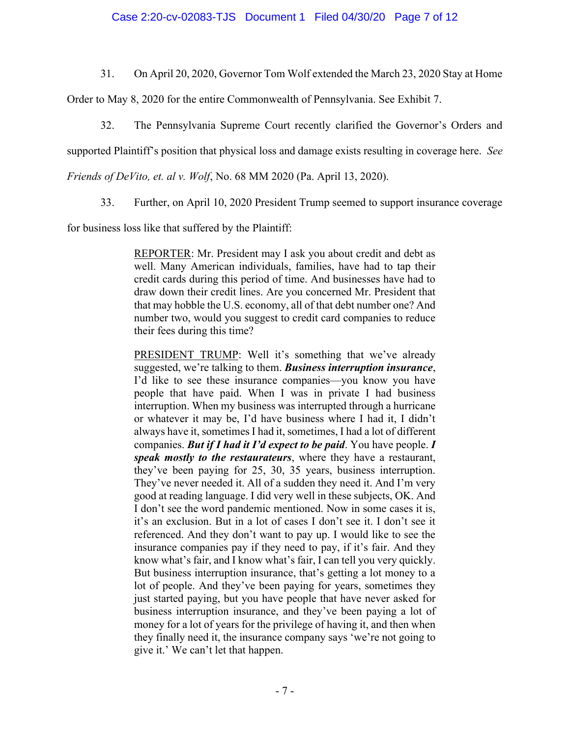31. On April 20, 2020, Governor Tom Wolf extended the March 23, 2020 Stay at Home

Order to May 8, 2020 for the entire Commonwealth of Pennsylvania. See Exhibit 7.

32. The Pennsylvania Supreme Court recently clarified the Governor's Orders and

supported Plaintiff's position that physical loss and damage exists resulting in coverage here. *See* 

*Friends of DeVito, et. al v. Wolf*, No. 68 MM 2020 (Pa. April 13, 2020).

33. Further, on April 10, 2020 President Trump seemed to support insurance coverage

for business loss like that suffered by the Plaintiff:

REPORTER: Mr. President may I ask you about credit and debt as well. Many American individuals, families, have had to tap their credit cards during this period of time. And businesses have had to draw down their credit lines. Are you concerned Mr. President that that may hobble the U.S. economy, all of that debt number one? And number two, would you suggest to credit card companies to reduce their fees during this time?

PRESIDENT TRUMP: Well it's something that we've already suggested, we're talking to them. *Business interruption insurance*, I'd like to see these insurance companies—you know you have people that have paid. When I was in private I had business interruption. When my business was interrupted through a hurricane or whatever it may be, I'd have business where I had it, I didn't always have it, sometimes I had it, sometimes, I had a lot of different companies. *But if I had it I'd expect to be paid*. You have people. *I speak mostly to the restaurateurs*, where they have a restaurant, they've been paying for 25, 30, 35 years, business interruption. They've never needed it. All of a sudden they need it. And I'm very good at reading language. I did very well in these subjects, OK. And I don't see the word pandemic mentioned. Now in some cases it is, it's an exclusion. But in a lot of cases I don't see it. I don't see it referenced. And they don't want to pay up. I would like to see the insurance companies pay if they need to pay, if it's fair. And they know what's fair, and I know what's fair, I can tell you very quickly. But business interruption insurance, that's getting a lot money to a lot of people. And they've been paying for years, sometimes they just started paying, but you have people that have never asked for business interruption insurance, and they've been paying a lot of money for a lot of years for the privilege of having it, and then when they finally need it, the insurance company says 'we're not going to give it.' We can't let that happen.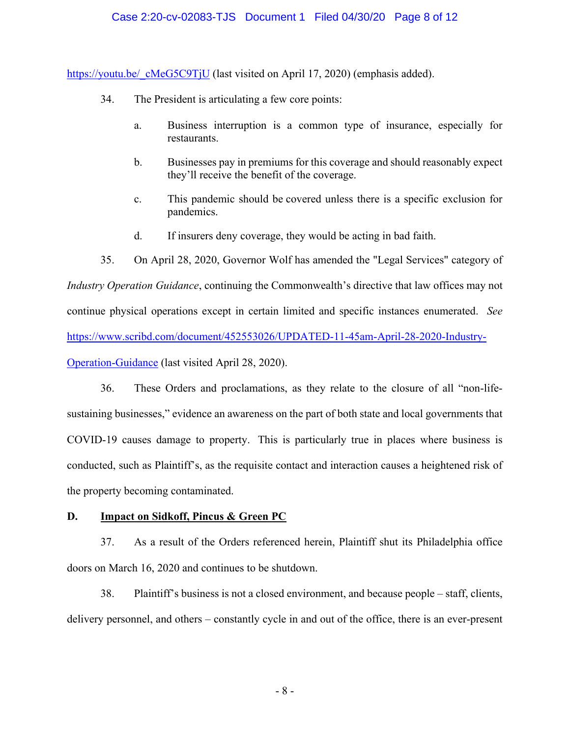### Case 2:20-cv-02083-TJS Document 1 Filed 04/30/20 Page 8 of 12

[https://youtu.be/\\_cMeG5C9TjU](https://youtu.be/_cMeG5C9TjU) (last visited on April 17, 2020) (emphasis added).

- 34. The President is articulating a few core points:
	- a. Business interruption is a common type of insurance, especially for restaurants.
	- b. Businesses pay in premiums for this coverage and should reasonably expect they'll receive the benefit of the coverage.
	- c. This pandemic should be covered unless there is a specific exclusion for pandemics.
	- d. If insurers deny coverage, they would be acting in bad faith.
- 35. On April 28, 2020, Governor Wolf has amended the "Legal Services" category of

*Industry Operation Guidance*, continuing the Commonwealth's directive that law offices may not continue physical operations except in certain limited and specific instances enumerated. *See* [https://www.scribd.com/document/452553026/UPDATED-11-45am-April-28-2020-Industry-](https://www.scribd.com/document/452553026/UPDATED-11-45am-April-28-2020-Industry-Operation-Guidance)

[Operation-Guidance](https://www.scribd.com/document/452553026/UPDATED-11-45am-April-28-2020-Industry-Operation-Guidance) (last visited April 28, 2020).

36. These Orders and proclamations, as they relate to the closure of all "non-lifesustaining businesses," evidence an awareness on the part of both state and local governments that COVID-19 causes damage to property. This is particularly true in places where business is conducted, such as Plaintiff's, as the requisite contact and interaction causes a heightened risk of the property becoming contaminated.

#### **D. Impact on Sidkoff, Pincus & Green PC**

37. As a result of the Orders referenced herein, Plaintiff shut its Philadelphia office doors on March 16, 2020 and continues to be shutdown.

38. Plaintiff's business is not a closed environment, and because people – staff, clients, delivery personnel, and others – constantly cycle in and out of the office, there is an ever-present

- 8 -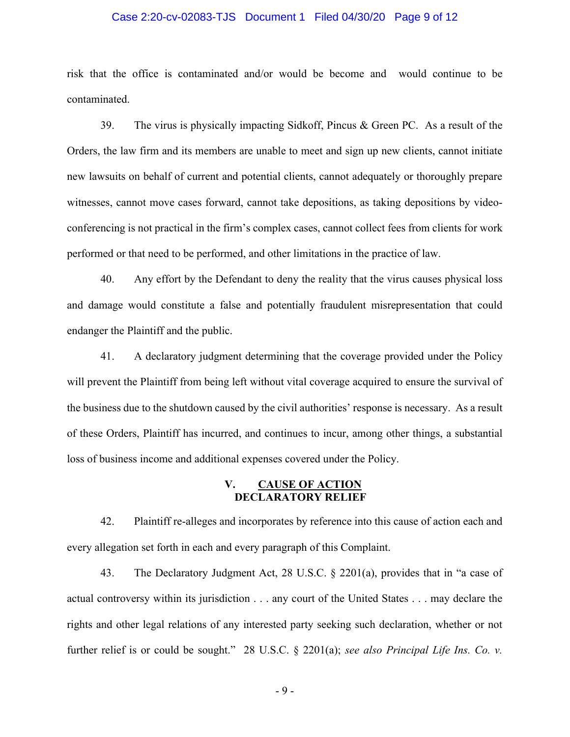#### Case 2:20-cv-02083-TJS Document 1 Filed 04/30/20 Page 9 of 12

risk that the office is contaminated and/or would be become and would continue to be contaminated.

39. The virus is physically impacting Sidkoff, Pincus & Green PC. As a result of the Orders, the law firm and its members are unable to meet and sign up new clients, cannot initiate new lawsuits on behalf of current and potential clients, cannot adequately or thoroughly prepare witnesses, cannot move cases forward, cannot take depositions, as taking depositions by videoconferencing is not practical in the firm's complex cases, cannot collect fees from clients for work performed or that need to be performed, and other limitations in the practice of law.

40. Any effort by the Defendant to deny the reality that the virus causes physical loss and damage would constitute a false and potentially fraudulent misrepresentation that could endanger the Plaintiff and the public.

41. A declaratory judgment determining that the coverage provided under the Policy will prevent the Plaintiff from being left without vital coverage acquired to ensure the survival of the business due to the shutdown caused by the civil authorities' response is necessary. As a result of these Orders, Plaintiff has incurred, and continues to incur, among other things, a substantial loss of business income and additional expenses covered under the Policy.

#### **V. CAUSE OF ACTION DECLARATORY RELIEF**

42. Plaintiff re-alleges and incorporates by reference into this cause of action each and every allegation set forth in each and every paragraph of this Complaint.

43. The Declaratory Judgment Act, 28 U.S.C. § 2201(a), provides that in "a case of actual controversy within its jurisdiction . . . any court of the United States . . . may declare the rights and other legal relations of any interested party seeking such declaration, whether or not further relief is or could be sought." 28 U.S.C. § 2201(a); *see also Principal Life Ins. Co. v.* 

- 9 -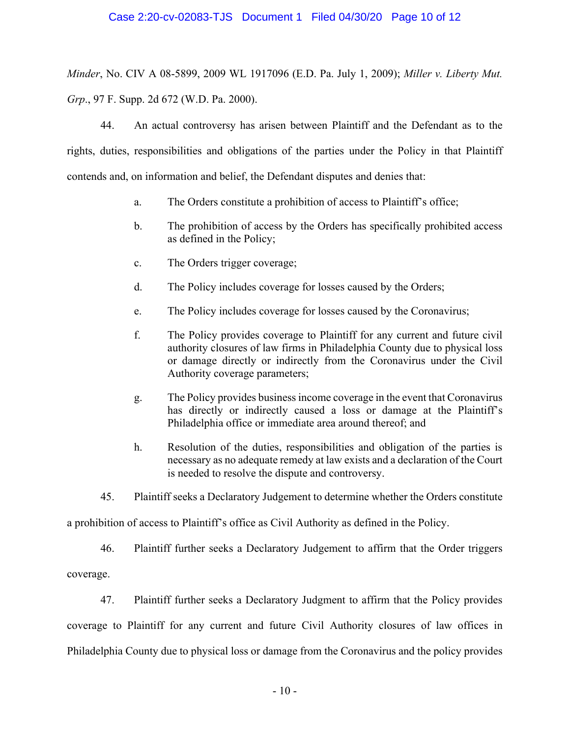# Case 2:20-cv-02083-TJS Document 1 Filed 04/30/20 Page 10 of 12

*Minder*, No. CIV A 08-5899, 2009 WL 1917096 (E.D. Pa. July 1, 2009); *Miller v. Liberty Mut. Grp*., 97 F. Supp. 2d 672 (W.D. Pa. 2000).

44. An actual controversy has arisen between Plaintiff and the Defendant as to the rights, duties, responsibilities and obligations of the parties under the Policy in that Plaintiff contends and, on information and belief, the Defendant disputes and denies that:

- a. The Orders constitute a prohibition of access to Plaintiff's office;
- b. The prohibition of access by the Orders has specifically prohibited access as defined in the Policy;
- c. The Orders trigger coverage;
- d. The Policy includes coverage for losses caused by the Orders;
- e. The Policy includes coverage for losses caused by the Coronavirus;
- f. The Policy provides coverage to Plaintiff for any current and future civil authority closures of law firms in Philadelphia County due to physical loss or damage directly or indirectly from the Coronavirus under the Civil Authority coverage parameters;
- g. The Policy provides business income coverage in the event that Coronavirus has directly or indirectly caused a loss or damage at the Plaintiff's Philadelphia office or immediate area around thereof; and
- h. Resolution of the duties, responsibilities and obligation of the parties is necessary as no adequate remedy at law exists and a declaration of the Court is needed to resolve the dispute and controversy.
- 45. Plaintiff seeks a Declaratory Judgement to determine whether the Orders constitute

a prohibition of access to Plaintiff's office as Civil Authority as defined in the Policy.

46. Plaintiff further seeks a Declaratory Judgement to affirm that the Order triggers

coverage.

47. Plaintiff further seeks a Declaratory Judgment to affirm that the Policy provides coverage to Plaintiff for any current and future Civil Authority closures of law offices in Philadelphia County due to physical loss or damage from the Coronavirus and the policy provides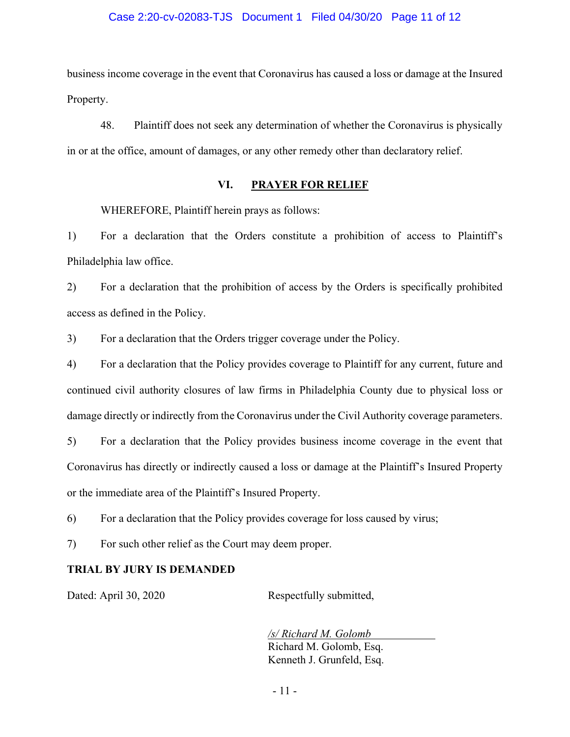### Case 2:20-cv-02083-TJS Document 1 Filed 04/30/20 Page 11 of 12

business income coverage in the event that Coronavirus has caused a loss or damage at the Insured Property.

48. Plaintiff does not seek any determination of whether the Coronavirus is physically in or at the office, amount of damages, or any other remedy other than declaratory relief.

#### **VI. PRAYER FOR RELIEF**

WHEREFORE, Plaintiff herein prays as follows:

1) For a declaration that the Orders constitute a prohibition of access to Plaintiff's Philadelphia law office.

2) For a declaration that the prohibition of access by the Orders is specifically prohibited access as defined in the Policy.

3) For a declaration that the Orders trigger coverage under the Policy.

4) For a declaration that the Policy provides coverage to Plaintiff for any current, future and continued civil authority closures of law firms in Philadelphia County due to physical loss or damage directly or indirectly from the Coronavirus under the Civil Authority coverage parameters.

5) For a declaration that the Policy provides business income coverage in the event that Coronavirus has directly or indirectly caused a loss or damage at the Plaintiff's Insured Property or the immediate area of the Plaintiff's Insured Property.

6) For a declaration that the Policy provides coverage for loss caused by virus;

7) For such other relief as the Court may deem proper.

### **TRIAL BY JURY IS DEMANDED**

Dated: April 30, 2020 Respectfully submitted,

*/s/ Richard M. Golomb* Richard M. Golomb, Esq. Kenneth J. Grunfeld, Esq.